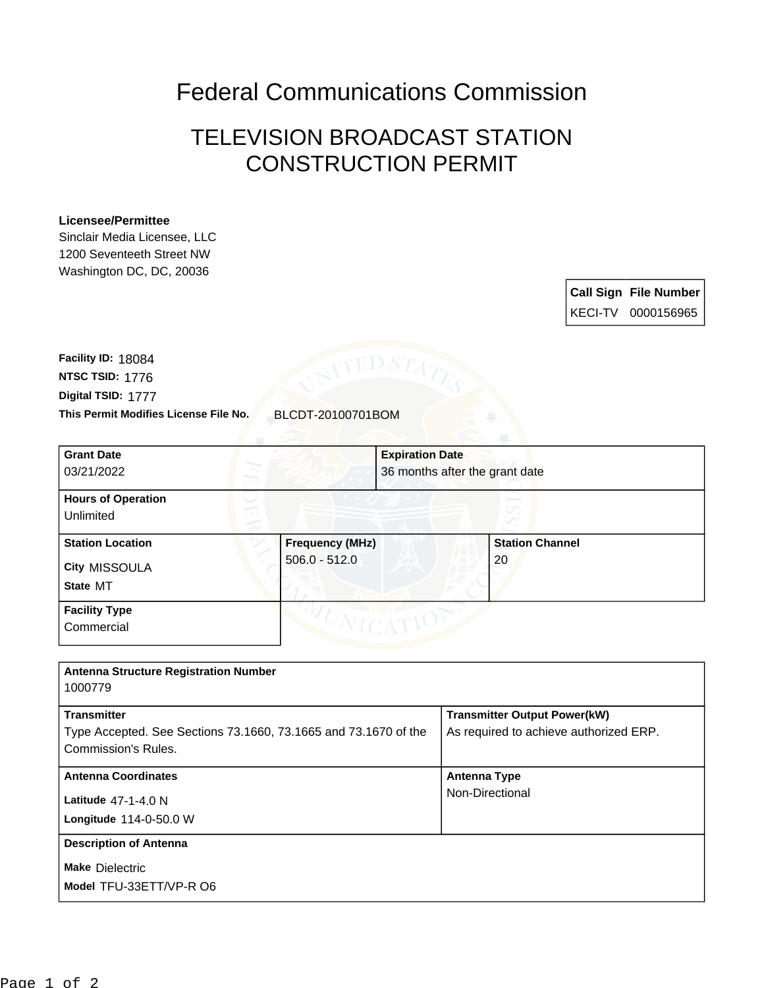Federal Communications Commission

## TELEVISION BROADCAST STATION CONSTRUCTION PERMIT

## **Licensee/Permittee**

Sinclair Media Licensee, LLC 1200 Seventeeth Street NW Washington DC, DC, 20036

> **Call Sign File Number** KECI-TV 0000156965

**This Permit Modifies License File No.** BLCDT-20100701BOM **Digital TSID:** 1777 **NTSC TSID:** 1776 **Facility ID:** 18084

| <b>Grant Date</b><br>03/21/2022                      |                                           | <b>Expiration Date</b><br>36 months after the grant date |  |
|------------------------------------------------------|-------------------------------------------|----------------------------------------------------------|--|
| <b>Hours of Operation</b><br>Unlimited               |                                           |                                                          |  |
| <b>Station Location</b><br>City MISSOULA<br>State MT | <b>Frequency (MHz)</b><br>$506.0 - 512.0$ | <b>Station Channel</b><br>20                             |  |
| <b>Facility Type</b><br>Commercial                   |                                           |                                                          |  |

| <b>Antenna Structure Registration Number</b><br>1000779                                                      |                                                                               |
|--------------------------------------------------------------------------------------------------------------|-------------------------------------------------------------------------------|
| <b>Transmitter</b><br>Type Accepted. See Sections 73.1660, 73.1665 and 73.1670 of the<br>Commission's Rules. | <b>Transmitter Output Power(kW)</b><br>As required to achieve authorized ERP. |
| <b>Antenna Coordinates</b><br>Latitude $47-1-4.0$ N<br>Longitude 114-0-50.0 W                                | <b>Antenna Type</b><br>Non-Directional                                        |
| <b>Description of Antenna</b><br><b>Make Dielectric</b><br>Model TFU-33ETT/VP-R O6                           |                                                                               |